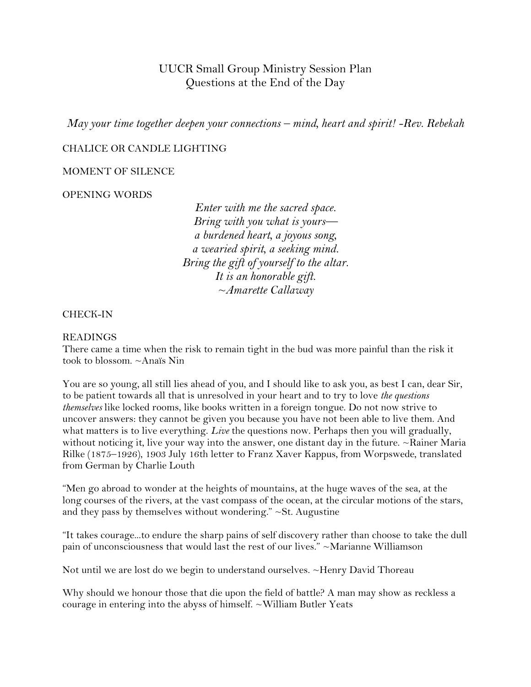# UUCR Small Group Ministry Session Plan Questions at the End of the Day

*May your time together deepen your connections – mind, heart and spirit! -Rev. Rebekah*

## CHALICE OR CANDLE LIGHTING

## MOMENT OF SILENCE

## OPENING WORDS

*Enter with me the sacred space. Bring with you what is yours a burdened heart, a joyous song, a wearied spirit, a seeking mind. Bring the gift of yourself to the altar. It is an honorable gift. ~Amarette Callaway*

#### CHECK-IN

#### READINGS

There came a time when the risk to remain tight in the bud was more painful than the risk it took to blossom. ~Anaïs Nin

You are so young, all still lies ahead of you, and I should like to ask you, as best I can, dear Sir, to be patient towards all that is unresolved in your heart and to try to love *the questions themselves* like locked rooms, like books written in a foreign tongue. Do not now strive to uncover answers: they cannot be given you because you have not been able to live them. And what matters is to live everything. *Live* the questions now. Perhaps then you will gradually, without noticing it, live your way into the answer, one distant day in the future.  $\sim$ Rainer Maria Rilke (1875–1926), 1903 July 16th letter to Franz Xaver Kappus, from Worpswede, translated from German by Charlie Louth

"Men go abroad to wonder at the heights of mountains, at the huge waves of the sea, at the long courses of the rivers, at the vast compass of the ocean, at the circular motions of the stars, and they pass by themselves without wondering."  $\sim$  St. Augustine

"It takes courage...to endure the sharp pains of self discovery rather than choose to take the dull pain of unconsciousness that would last the rest of our lives." ~Marianne Williamson

Not until we are lost do we begin to understand ourselves. ~Henry David Thoreau

Why should we honour those that die upon the field of battle? A man may show as reckless a courage in entering into the abyss of himself. ~William Butler Yeats